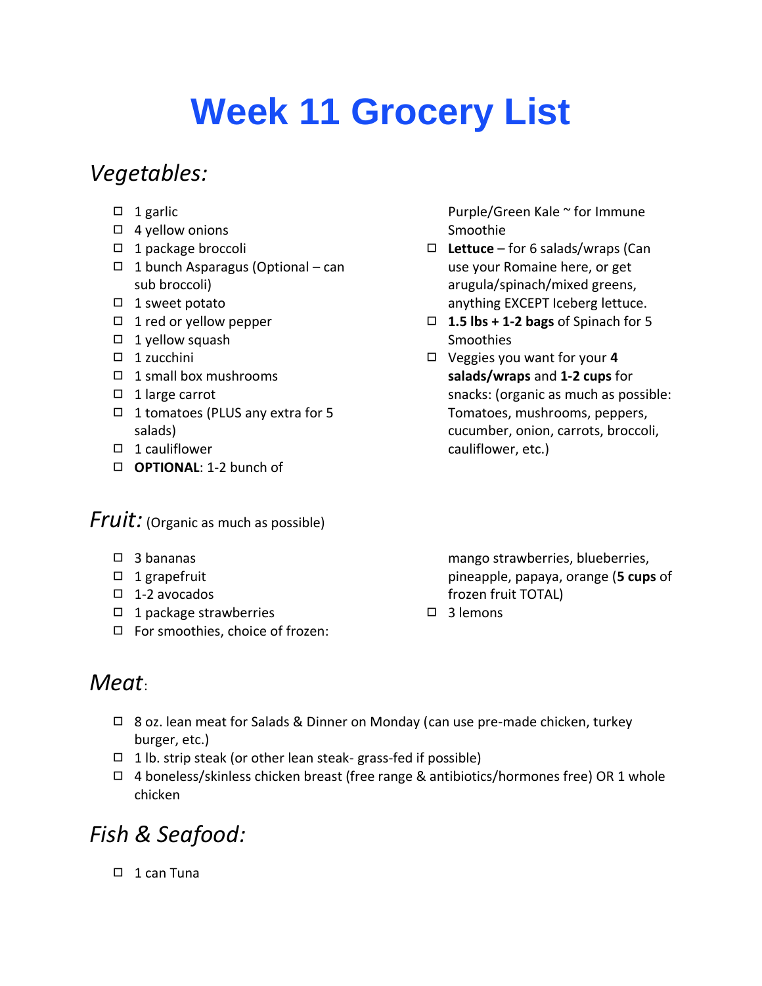# **Week 11 Grocery List**

## *Vegetables:*

- $\Box$  1 garlic
- ◻ 4 yellow onions
- ◻ 1 package broccoli
- ◻ 1 bunch Asparagus (Optional can sub broccoli)
- ◻ 1 sweet potato
- ◻ 1 red or yellow pepper
- $\Box$  1 yellow squash
- ◻ 1 zucchini
- ◻ 1 small box mushrooms
- ◻ 1 large carrot
- ◻ 1 tomatoes (PLUS any extra for 5 salads)
- ◻ 1 cauliflower
- ◻ **OPTIONAL**: 1-2 bunch of

#### *Fruit:* (Organic as much as possible)

- ◻ 3 bananas
- ◻ 1 grapefruit
- ◻ 1-2 avocados
- ◻ 1 package strawberries
- ◻ For smoothies, choice of frozen:

#### Purple/Green Kale ~ for Immune Smoothie

- ◻ **Lettuce** for 6 salads/wraps (Can use your Romaine here, or get arugula/spinach/mixed greens, anything EXCEPT Iceberg lettuce.
- ◻ **1.5 lbs + 1-2 bags** of Spinach for 5 **Smoothies**
- ◻ Veggies you want for your **4 salads/wraps** and **1-2 cups** for snacks: (organic as much as possible: Tomatoes, mushrooms, peppers, cucumber, onion, carrots, broccoli, cauliflower, etc.)

mango strawberries, blueberries, pineapple, papaya, orange (**5 cups** of frozen fruit TOTAL)

◻ 3 lemons

# *Meat*:

- ◻ 8 oz. lean meat for Salads & Dinner on Monday (can use pre-made chicken, turkey burger, etc.)
- $\Box$  1 lb. strip steak (or other lean steak- grass-fed if possible)
- $\Box$  4 boneless/skinless chicken breast (free range & antibiotics/hormones free) OR 1 whole chicken

# *Fish & Seafood:*

◻ 1 can Tuna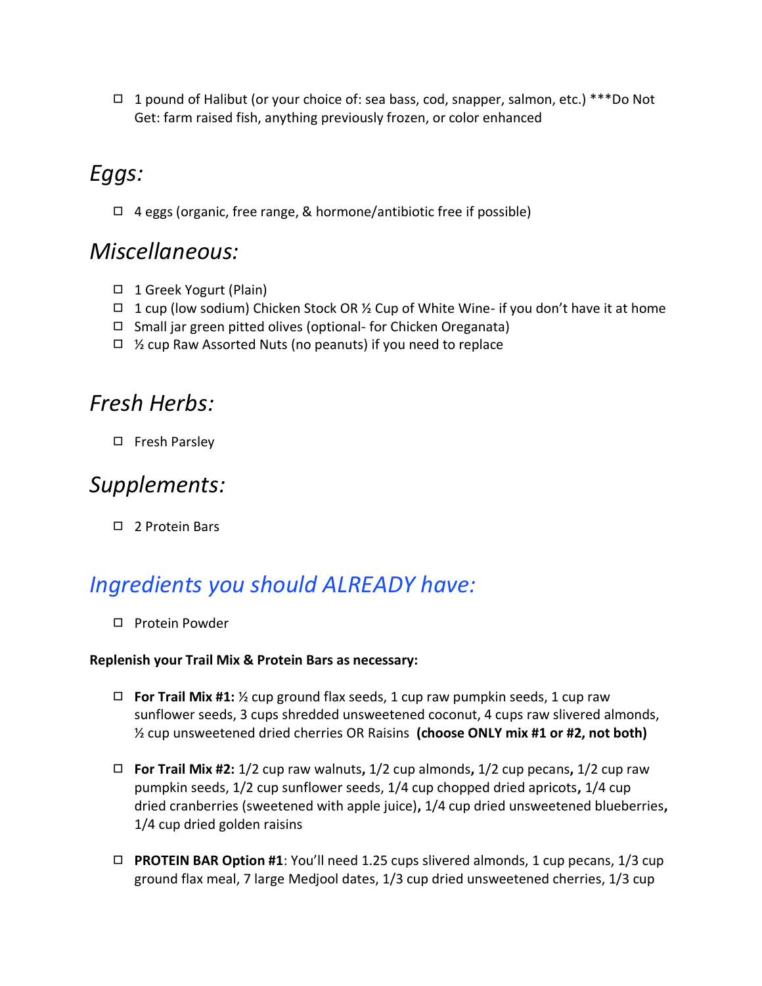◻ 1 pound of Halibut (or your choice of: sea bass, cod, snapper, salmon, etc.) \*\*\*Do Not Get: farm raised fish, anything previously frozen, or color enhanced

# *Eggs:*

◻ 4 eggs (organic, free range, & hormone/antibiotic free if possible)

## *Miscellaneous:*

- ◻ 1 Greek Yogurt (Plain)
- $\Box$  1 cup (low sodium) Chicken Stock OR 1/2 Cup of White Wine- if you don't have it at home
- ◻ Small jar green pitted olives (optional- for Chicken Oreganata)
- $\Box$  % cup Raw Assorted Nuts (no peanuts) if you need to replace

## *Fresh Herbs:*

◻ Fresh Parsley

## *Supplements:*

◻ 2 Protein Bars

# *Ingredients you should ALREADY have:*

◻ Protein Powder

#### **Replenish your Trail Mix & Protein Bars as necessary:**

- ◻ **For Trail Mix #1:** ½ cup ground flax seeds, 1 cup raw pumpkin seeds, 1 cup raw sunflower seeds, 3 cups shredded unsweetened coconut, 4 cups raw slivered almonds, ½ cup unsweetened dried cherries OR Raisins **(choose ONLY mix #1 or #2, not both)**
- ◻ **For Trail Mix #2:** 1/2 cup raw walnuts**,** 1/2 cup almonds**,** 1/2 cup pecans**,** 1/2 cup raw pumpkin seeds, 1/2 cup sunflower seeds, 1/4 cup chopped dried apricots**,** 1/4 cup dried cranberries (sweetened with apple juice)**,** 1/4 cup dried unsweetened blueberries**,**  1/4 cup dried golden raisins
- ◻ **PROTEIN BAR Option #1**: You'll need 1.25 cups slivered almonds, 1 cup pecans, 1/3 cup ground flax meal, 7 large Medjool dates, 1/3 cup dried unsweetened cherries, 1/3 cup